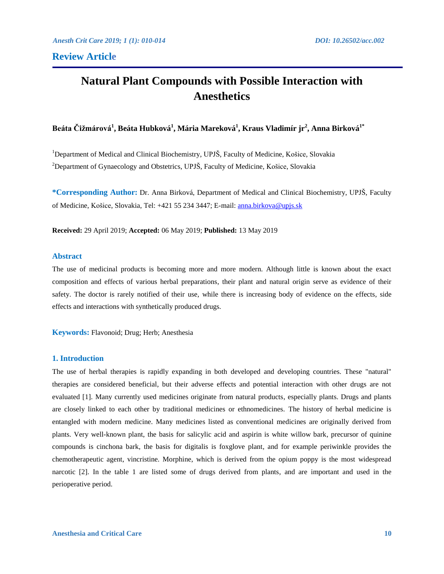## **Review Article**

# **Natural Plant Compounds with Possible Interaction with Anesthetics**

**Beáta Čižmárová<sup>1</sup> , Beáta Hubková<sup>1</sup> , Mária Mareková<sup>1</sup> , Kraus Vladimír jr<sup>2</sup> , Anna Birková1\***

<sup>1</sup>Department of Medical and Clinical Biochemistry, UPJŠ, Faculty of Medicine, Košice, Slovakia <sup>2</sup>Department of Gynaecology and Obstetrics, UPJŠ, Faculty of Medicine, Košice, Slovakia

**\*Corresponding Author:** Dr. Anna Birková, Department of Medical and Clinical Biochemistry, UPJŠ, Faculty of Medicine, Košice, Slovakia, Tel: +421 55 234 3447; E-mail: [anna.birkova@upjs.sk](mailto:anna.birkova@upjs.sk)

**Received:** 29 April 2019; **Accepted:** 06 May 2019; **Published:** 13 May 2019

#### **Abstract**

The use of medicinal products is becoming more and more modern. Although little is known about the exact composition and effects of various herbal preparations, their plant and natural origin serve as evidence of their safety. The doctor is rarely notified of their use, while there is increasing body of evidence on the effects, side effects and interactions with synthetically produced drugs.

**Keywords:** Flavonoid; Drug; Herb; Anesthesia

## **1. Introduction**

The use of herbal therapies is rapidly expanding in both developed and developing countries. These "natural" therapies are considered beneficial, but their adverse effects and potential interaction with other drugs are not evaluated [1]. Many currently used medicines originate from natural products, especially plants. Drugs and plants are closely linked to each other by traditional medicines or ethnomedicines. The history of herbal medicine is entangled with modern medicine. Many medicines listed as conventional medicines are originally derived from plants. Very well-known plant, the basis for salicylic acid and aspirin is white willow bark, precursor of quinine compounds is cinchona bark, the basis for digitalis is foxglove plant, and for example periwinkle provides the chemotherapeutic agent, vincristine. Morphine, which is derived from the opium poppy is the most widespread narcotic [2]. In the table 1 are listed some of drugs derived from plants, and are important and used in the perioperative period.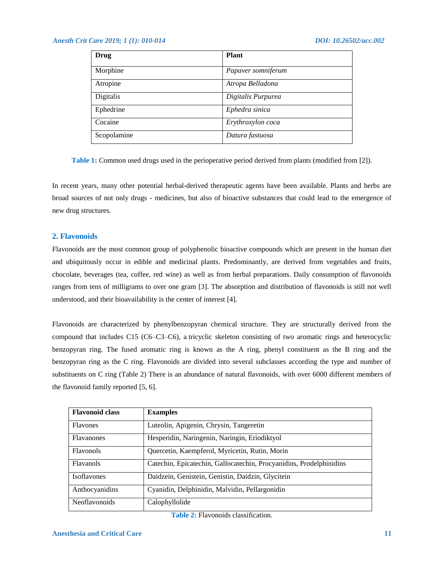## *Anesth Crit Care 2019; 1 (1): 010-014 DOI: 10.26502/acc.002*

| Drug        | <b>Plant</b>       |
|-------------|--------------------|
| Morphine    | Papaver somniferum |
| Atropine    | Atropa Belladona   |
| Digitalis   | Digitalis Purpurea |
| Ephedrine   | Ephedra sinica     |
| Cocaine     | Erythroxylon coca  |
| Scopolamine | Datura fastuosa    |

**Table 1:** Common used drugs used in the perioperative period derived from plants (modified from [2]).

In recent years, many other potential herbal-derived therapeutic agents have been available. Plants and herbs are broad sources of not only drugs - medicines, but also of bioactive substances that could lead to the emergence of new drug structures.

## **2. Flavonoids**

Flavonoids are the most common group of polyphenolic bioactive compounds which are present in the human diet and ubiquitously occur in edible and medicinal plants. Predominantly, are derived from vegetables and fruits, chocolate, beverages (tea, coffee, red wine) as well as from herbal preparations. Daily consumption of flavonoids ranges from tens of milligrams to over one gram [3]. The absorption and distribution of flavonoids is still not well understood, and their bioavailability is the center of interest [4].

Flavonoids are characterized by phenylbenzopyran chemical structure. They are structurally derived from the compound that includes C15 (C6–C3–C6), a tricyclic skeleton consisting of two aromatic rings and heterocyclic benzopyran ring. The fused aromatic ring is known as the A ring, phenyl constituent as the B ring and the benzopyran ring as the C ring. Flavonoids are divided into several subclasses according the type and number of substituents on C ring (Table 2) There is an abundance of natural flavonoids, with over 6000 different members of the flavonoid family reported [5, 6].

| <b>Flavonoid class</b> | <b>Examples</b>                                                     |
|------------------------|---------------------------------------------------------------------|
| <b>Flavones</b>        | Luteolin, Apigenin, Chrysin, Tangeretin                             |
| <b>Flavanones</b>      | Hesperidin, Naringenin, Naringin, Eriodiktyol                       |
| <b>Flavonols</b>       | Quercetin, Kaempferol, Myricetin, Rutin, Morin                      |
| Flavanols              | Catechin, Epicatechin, Gallocatechin, Procyanidins, Prodelphinidins |
| Isoflavones            | Daidzein, Genistein, Genistin, Daidzin, Glycitein                   |
| Anthocyanidins         | Cyanidin, Delphinidin, Malvidin, Pellargonidin                      |
| Neoflavonoids          | Calophyllolide                                                      |

**Table 2:** Flavonoids classification.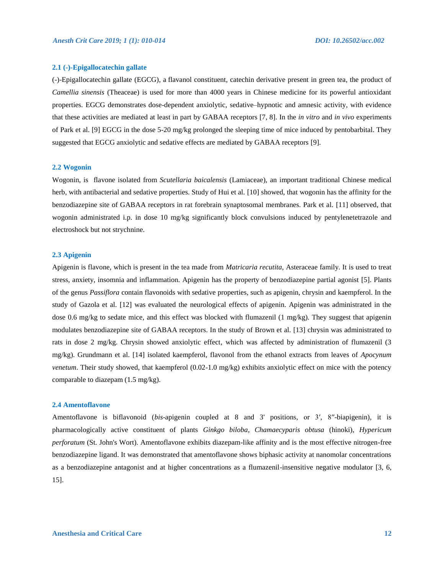#### **2.1 (-)-Epigallocatechin gallate**

(-)-Epigallocatechin gallate (EGCG), a flavanol constituent, catechin derivative present in green tea, the product of *Camellia sinensis* (Theaceae) is used for more than 4000 years in Chinese medicine for its powerful antioxidant properties. EGCG demonstrates dose-dependent anxiolytic, sedative–hypnotic and amnesic activity, with evidence that these activities are mediated at least in part by GABAA receptors [7, 8]. In the *in vitro* and *in vivo* experiments of Park et al. [9] EGCG in the dose 5-20 mg/kg prolonged the sleeping time of mice induced by pentobarbital. They suggested that EGCG anxiolytic and sedative effects are mediated by GABAA receptors [9].

#### **2.2 Wogonin**

Wogonin, is flavone isolated from *Scutellaria baicalensis* (Lamiaceae), an important traditional Chinese medical herb, with antibacterial and sedative properties. Study of Hui et al. [10] showed, that wogonin has the affinity for the benzodiazepine site of GABAA receptors in rat forebrain synaptosomal membranes. Park et al. [11] observed, that wogonin administrated i.p. in dose 10 mg/kg significantly block convulsions induced by pentylenetetrazole and electroshock but not strychnine.

#### **2.3 Apigenin**

Apigenin is flavone, which is present in the tea made from *Matricaria recutita*, Asteraceae family. It is used to treat stress, anxiety, insomnia and inflammation. Apigenin has the property of benzodiazepine partial agonist [5]. Plants of the genus *Passiflora* contain flavonoids with sedative properties, such as apigenin, chrysin and kaempferol. In the study of Gazola et al. [12] was evaluated the neurological effects of apigenin. Apigenin was administrated in the dose 0.6 mg/kg to sedate mice, and this effect was blocked with flumazenil (1 mg/kg). They suggest that apigenin modulates benzodiazepine site of GABAA receptors. In the study of Brown et al. [13] chrysin was administrated to rats in dose 2 mg/kg. Chrysin showed anxiolytic effect, which was affected by administration of flumazenil (3 mg/kg). Grundmann et al. [14] isolated kaempferol, flavonol from the ethanol extracts from leaves of *Apocynum venetum*. Their study showed, that kaempferol (0.02-1.0 mg/kg) exhibits anxiolytic effect on mice with the potency comparable to diazepam (1.5 mg/kg).

#### **2.4 Amentoflavone**

Amentoflavone is biflavonoid (*bis*-apigenin coupled at 8 and 3' positions, or 3′, 8′′-biapigenin), it is pharmacologically active constituent of plants *Ginkgo biloba*, *Chamaecyparis obtusa* (hinoki), *Hypericum perforatum* (St. John's Wort). Amentoflavone exhibits diazepam-like affinity and is the most effective nitrogen-free benzodiazepine ligand. It was demonstrated that amentoflavone shows biphasic activity at nanomolar concentrations as a benzodiazepine antagonist and at higher concentrations as a flumazenil-insensitive negative modulator [3, 6, 15].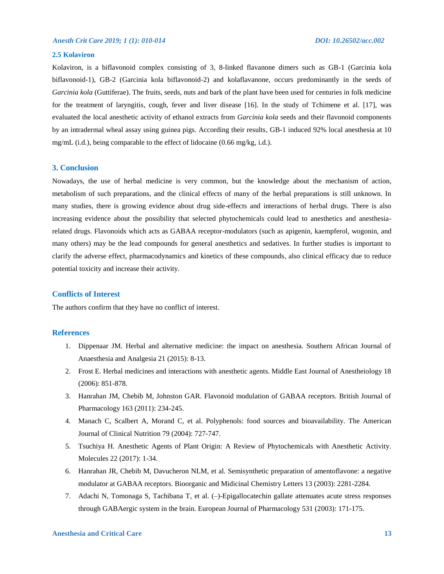#### *Anesth Crit Care 2019; 1 (1): 010-014 DOI: 10.26502/acc.002*

#### **2.5 Kolaviron**

Kolaviron, is a biflavonoid complex consisting of 3, 8-linked flavanone dimers such as GB-1 (Garcinia kola biflavonoid-1), GB-2 (Garcinia kola biflavonoid-2) and kolaflavanone, occurs predominantly in the seeds of *Garcinia kola* (Guttiferae). The fruits, seeds, nuts and bark of the plant have been used for centuries in folk medicine for the treatment of laryngitis, cough, fever and liver disease [16]. In the study of Tchimene et al. [17], was evaluated the local anesthetic activity of ethanol extracts from *Garcinia kola* seeds and their flavonoid components by an intradermal wheal assay using guinea pigs. According their results, GB-1 induced 92% local anesthesia at 10 mg/mL (i.d.), being comparable to the effect of lidocaine (0.66 mg/kg, i.d.).

#### **3. Conclusion**

Nowadays, the use of herbal medicine is very common, but the knowledge about the mechanism of action, metabolism of such preparations, and the clinical effects of many of the herbal preparations is still unknown. In many studies, there is growing evidence about drug side-effects and interactions of herbal drugs. There is also increasing evidence about the possibility that selected phytochemicals could lead to anesthetics and anesthesiarelated drugs. Flavonoids which acts as GABAA receptor-modulators (such as apigenin, kaempferol, wogonin, and many others) may be the lead compounds for general anesthetics and sedatives. In further studies is important to clarify the adverse effect, pharmacodynamics and kinetics of these compounds, also clinical efficacy due to reduce potential toxicity and increase their activity.

#### **Conflicts of Interest**

The authors confirm that they have no conflict of interest.

#### **References**

- 1. Dippenaar JM. Herbal and alternative medicine: the impact on anesthesia. Southern African Journal of Anaesthesia and Analgesia 21 (2015): 8-13.
- 2. Frost E. Herbal medicines and interactions with anesthetic agents. Middle East Journal of Anestheiology 18 (2006): 851-878.
- 3. Hanrahan JM, Chebib M, Johnston GAR. Flavonoid modulation of GABAA receptors. British Journal of Pharmacology 163 (2011): 234-245.
- 4. Manach C, Scalbert A, Morand C, et al. Polyphenols: food sources and bioavailability. The American Journal of Clinical Nutrition 79 (2004): 727-747.
- 5. Tsuchiya H. Anesthetic Agents of Plant Origin: A Review of Phytochemicals with Anesthetic Activity. Molecules 22 (2017): 1-34.
- 6. Hanrahan JR, Chebib M, Davucheron NLM, et al. Semisynthetic preparation of amentoflavone: a negative modulator at GABAA receptors. Bioorganic and Midicinal Chemistry Letters 13 (2003): 2281-2284.
- 7. Adachi N, Tomonaga S, Tachibana T, et al. (–)-Epigallocatechin gallate attenuates acute stress responses through GABAergic system in the brain. European Journal of Pharmacology 531 (2003): 171-175.